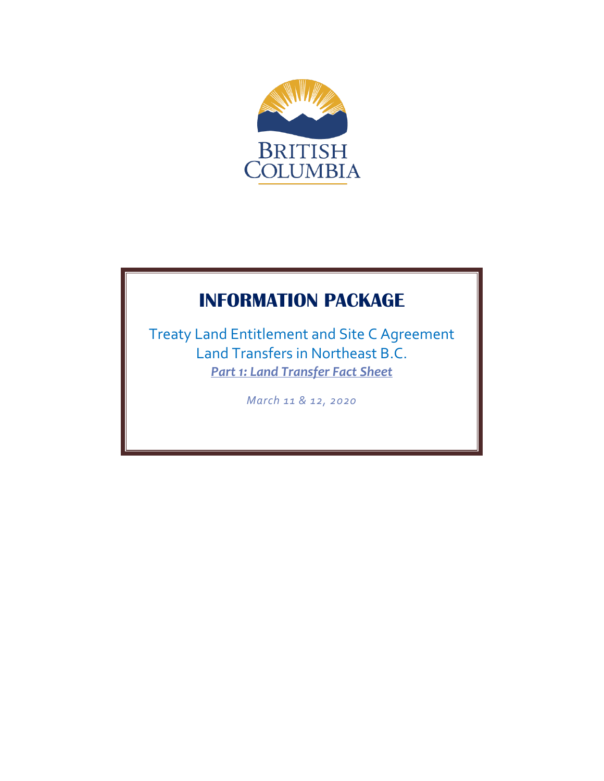

# **INFORMATION PACKAGE**

Treaty Land Entitlement and Site C Agreement Land Transfers in Northeast B.C. *Part 1: Land Transfer Fact Sheet*

*March 11 & 12, 2020*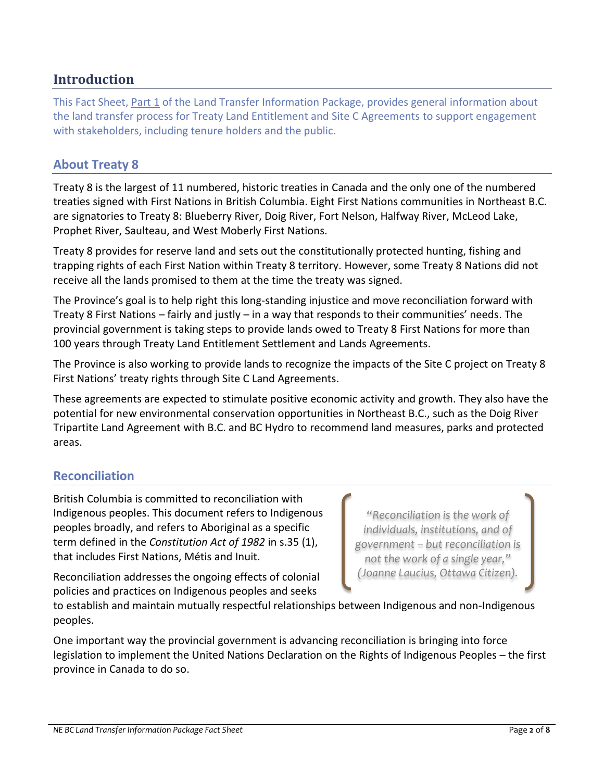# **Introduction**

This Fact Sheet, Part 1 of the Land Transfer Information Package, provides general information about the land transfer process for Treaty Land Entitlement and Site C Agreements to support engagement with stakeholders, including tenure holders and the public.

# **About Treaty 8**

Treaty 8 is the largest of 11 numbered, historic treaties in Canada and the only one of the numbered treaties signed with First Nations in British Columbia. Eight First Nations communities in Northeast B.C. are signatories to Treaty 8: Blueberry River, Doig River, Fort Nelson, Halfway River, McLeod Lake, Prophet River, Saulteau, and West Moberly First Nations.

Treaty 8 provides for reserve land and sets out the constitutionally protected hunting, fishing and trapping rights of each First Nation within Treaty 8 territory. However, some Treaty 8 Nations did not receive all the lands promised to them at the time the treaty was signed.

The Province's goal is to help right this long-standing injustice and move reconciliation forward with Treaty 8 First Nations – fairly and justly – in a way that responds to their communities' needs. The provincial government is taking steps to provide lands owed to Treaty 8 First Nations for more than 100 years through Treaty Land Entitlement Settlement and Lands Agreements.

The Province is also working to provide lands to recognize the impacts of the Site C project on Treaty 8 First Nations' treaty rights through Site C Land Agreements.

These agreements are expected to stimulate positive economic activity and growth. They also have the potential for new environmental conservation opportunities in Northeast B.C., such as the Doig River Tripartite Land Agreement with B.C. and BC Hydro to recommend land measures, parks and protected areas.

# **Reconciliation**

British Columbia is committed to reconciliation with Indigenous peoples. This document refers to Indigenous peoples broadly, and refers to Aboriginal as a specific term defined in the *Constitution Act of 1982* in s.35 (1), that includes First Nations, Métis and Inuit.

*"Reconciliation is the work of individuals, institutions, and of government – but reconciliation is not the work of a single year," (Joanne Laucius, Ottawa Citizen).*

Reconciliation addresses the ongoing effects of colonial policies and practices on Indigenous peoples and seeks

to establish and maintain mutually respectful relationships between Indigenous and non-Indigenous peoples.

One important way the provincial government is advancing reconciliation is bringing into force legislation to implement the United Nations Declaration on the Rights of Indigenous Peoples – the first province in Canada to do so.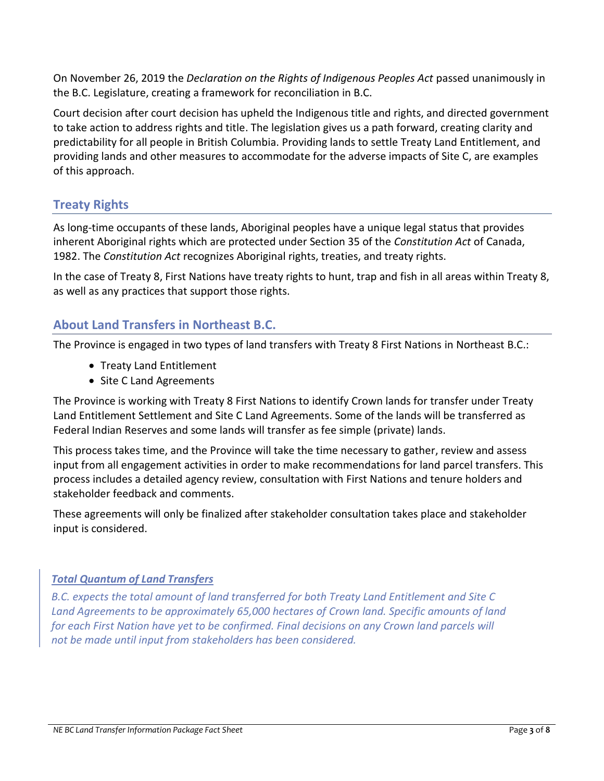On November 26, 2019 the *Declaration on the Rights of Indigenous Peoples Act* passed unanimously in the B.C. Legislature, creating a framework for reconciliation in B.C.

Court decision after court decision has upheld the Indigenous title and rights, and directed government to take action to address rights and title. The legislation gives us a path forward, creating clarity and predictability for all people in British Columbia. Providing lands to settle Treaty Land Entitlement, and providing lands and other measures to accommodate for the adverse impacts of Site C, are examples of this approach.

# **Treaty Rights**

As long-time occupants of these lands, Aboriginal peoples have a unique legal status that provides inherent Aboriginal rights which are protected under Section 35 of the *Constitution Act* of Canada, 1982. The *Constitution Act* recognizes Aboriginal rights, treaties, and treaty rights.

In the case of Treaty 8, First Nations have treaty rights to hunt, trap and fish in all areas within Treaty 8, as well as any practices that support those rights.

# **About Land Transfers in Northeast B.C.**

The Province is engaged in two types of land transfers with Treaty 8 First Nations in Northeast B.C.:

- Treaty Land Entitlement
- Site C Land Agreements

The Province is working with Treaty 8 First Nations to identify Crown lands for transfer under Treaty Land Entitlement Settlement and Site C Land Agreements. Some of the lands will be transferred as Federal Indian Reserves and some lands will transfer as fee simple (private) lands.

This process takes time, and the Province will take the time necessary to gather, review and assess input from all engagement activities in order to make recommendations for land parcel transfers. This process includes a detailed agency review, consultation with First Nations and tenure holders and stakeholder feedback and comments.

These agreements will only be finalized after stakeholder consultation takes place and stakeholder input is considered.

#### *Total Quantum of Land Transfers*

*B.C. expects the total amount of land transferred for both Treaty Land Entitlement and Site C Land Agreements to be approximately 65,000 hectares of Crown land. Specific amounts of land for each First Nation have yet to be confirmed. Final decisions on any Crown land parcels will not be made until input from stakeholders has been considered.*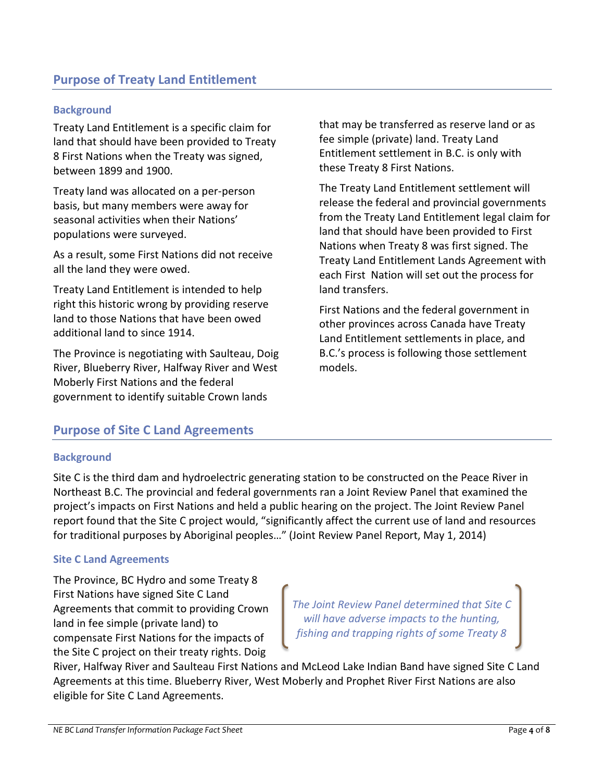#### **Background**

Treaty Land Entitlement is a specific claim for land that should have been provided to Treaty 8 First Nations when the Treaty was signed, between 1899 and 1900.

Treaty land was allocated on a per-person basis, but many members were away for seasonal activities when their Nations' populations were surveyed.

As a result, some First Nations did not receive all the land they were owed.

Treaty Land Entitlement is intended to help right this historic wrong by providing reserve land to those Nations that have been owed additional land to since 1914.

The Province is negotiating with Saulteau, Doig River, Blueberry River, Halfway River and West Moberly First Nations and the federal government to identify suitable Crown lands

that may be transferred as reserve land or as fee simple (private) land. Treaty Land Entitlement settlement in B.C. is only with these Treaty 8 First Nations.

The Treaty Land Entitlement settlement will release the federal and provincial governments from the Treaty Land Entitlement legal claim for land that should have been provided to First Nations when Treaty 8 was first signed. The Treaty Land Entitlement Lands Agreement with each First Nation will set out the process for land transfers.

First Nations and the federal government in other provinces across Canada have Treaty Land Entitlement settlements in place, and B.C.'s process is following those settlement models.

# **Purpose of Site C Land Agreements**

#### **Background**

Site C is the third dam and hydroelectric generating station to be constructed on the Peace River in Northeast B.C. The provincial and federal governments ran a Joint Review Panel that examined the project's impacts on First Nations and held a public hearing on the project. The Joint Review Panel report found that the Site C project would, "significantly affect the current use of land and resources for traditional purposes by Aboriginal peoples…" (Joint Review Panel Report, May 1, 2014)

#### **Site C Land Agreements**

The Province, BC Hydro and some Treaty 8 First Nations have signed Site C Land Agreements that commit to providing Crown land in fee simple (private land) to compensate First Nations for the impacts of the Site C project on their treaty rights. Doig

*The Joint Review Panel determined that Site C will have adverse impacts to the hunting, fishing and trapping rights of some Treaty 8* 

River, Halfway River and Saulteau First Nations and McLeod Lake Indian Band have signed Site C Land Agreements at this time. Blueberry River, West Moberly and Prophet River First Nations are also eligible for Site C Land Agreements.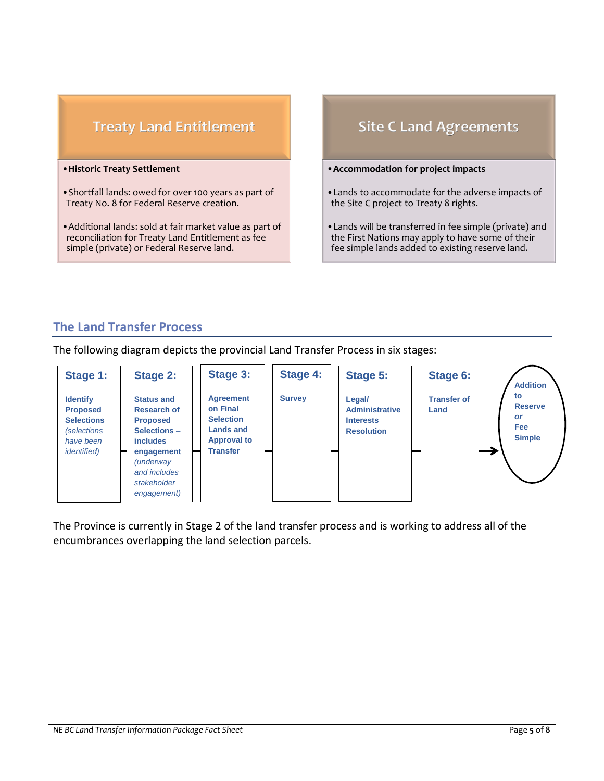# **Treaty Land Entitlement**

#### •**Historic Treaty Settlement**

- •Shortfall lands: owed for over 100 years as part of Treaty No. 8 for Federal Reserve creation.
- •Additional lands: sold at fair market value as part of reconciliation for Treaty Land Entitlement as fee simple (private) or Federal Reserve land.

# **Site C Land Agreements**

#### •**Accommodation for project impacts**

- •Lands to accommodate for the adverse impacts of the Site C project to Treaty 8 rights.
- •Lands will be transferred in fee simple (private) and the First Nations may apply to have some of their fee simple lands added to existing reserve land.

# **The Land Transfer Process**

The following diagram depicts the provincial Land Transfer Process in six stages:



The Province is currently in Stage 2 of the land transfer process and is working to address all of the encumbrances overlapping the land selection parcels.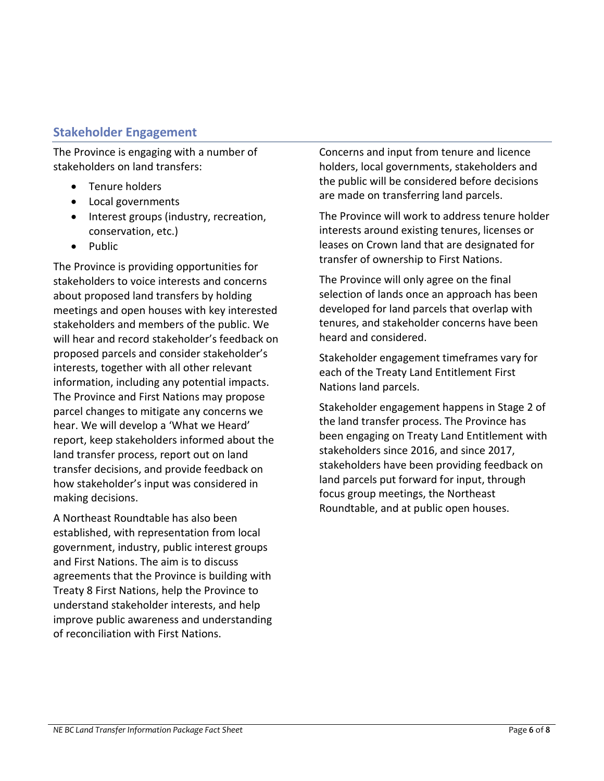# **Stakeholder Engagement**

The Province is engaging with a number of stakeholders on land transfers:

- Tenure holders
- Local governments
- Interest groups (industry, recreation, conservation, etc.)
- Public

The Province is providing opportunities for stakeholders to voice interests and concerns about proposed land transfers by holding meetings and open houses with key interested stakeholders and members of the public. We will hear and record stakeholder's feedback on proposed parcels and consider stakeholder's interests, together with all other relevant information, including any potential impacts. The Province and First Nations may propose parcel changes to mitigate any concerns we hear. We will develop a 'What we Heard' report, keep stakeholders informed about the land transfer process, report out on land transfer decisions, and provide feedback on how stakeholder's input was considered in making decisions.

A Northeast Roundtable has also been established, with representation from local government, industry, public interest groups and First Nations. The aim is to discuss agreements that the Province is building with Treaty 8 First Nations, help the Province to understand stakeholder interests, and help improve public awareness and understanding of reconciliation with First Nations.

Concerns and input from tenure and licence holders, local governments, stakeholders and the public will be considered before decisions are made on transferring land parcels.

The Province will work to address tenure holder interests around existing tenures, licenses or leases on Crown land that are designated for transfer of ownership to First Nations.

The Province will only agree on the final selection of lands once an approach has been developed for land parcels that overlap with tenures, and stakeholder concerns have been heard and considered.

Stakeholder engagement timeframes vary for each of the Treaty Land Entitlement First Nations land parcels.

Stakeholder engagement happens in Stage 2 of the land transfer process. The Province has been engaging on Treaty Land Entitlement with stakeholders since 2016, and since 2017, stakeholders have been providing feedback on land parcels put forward for input, through focus group meetings, the Northeast Roundtable, and at public open houses.